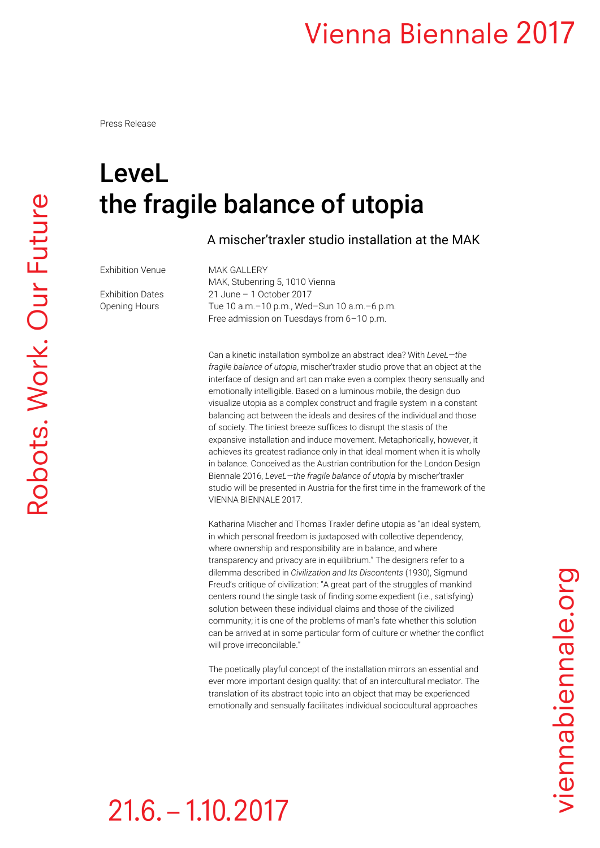## **Vienna Biennale 2017**

Press Release

## LeveL the fragile balance of utopia

A mischer'traxler studio installation at the MAK

Exhibition Venue MAK GALLERY

MAK, Stubenring 5, 1010 Vienna Exhibition Dates 21 June – 1 October 2017 Opening Hours Tue 10 a.m.–10 p.m., Wed–Sun 10 a.m.–6 p.m. Free admission on Tuesdays from 6–10 p.m.

> Can a kinetic installation symbolize an abstract idea? With *LeveL—the fragile balance of utopia*, mischer'traxler studio prove that an object at the interface of design and art can make even a complex theory sensually and emotionally intelligible. Based on a luminous mobile, the design duo visualize utopia as a complex construct and fragile system in a constant balancing act between the ideals and desires of the individual and those of society. The tiniest breeze suffices to disrupt the stasis of the expansive installation and induce movement. Metaphorically, however, it achieves its greatest radiance only in that ideal moment when it is wholly in balance. Conceived as the Austrian contribution for the London Design Biennale 2016, *LeveL—the fragile balance of utopia* by mischer'traxler studio will be presented in Austria for the first time in the framework of the VIENNA BIENNALE 2017.

> Katharina Mischer and Thomas Traxler define utopia as "an ideal system, in which personal freedom is juxtaposed with collective dependency, where ownership and responsibility are in balance, and where transparency and privacy are in equilibrium." The designers refer to a dilemma described in *Civilization and Its Discontents* (1930), Sigmund Freud's critique of civilization: "A great part of the struggles of mankind centers round the single task of finding some expedient (i.e., satisfying) solution between these individual claims and those of the civilized community; it is one of the problems of man's fate whether this solution can be arrived at in some particular form of culture or whether the conflict will prove irreconcilable."

The poetically playful concept of the installation mirrors an essential and ever more important design quality: that of an intercultural mediator. The translation of its abstract topic into an object that may be experienced emotionally and sensually facilitates individual sociocultural approaches

viennabiennale.org

## $21.6 - 1.10.2017$